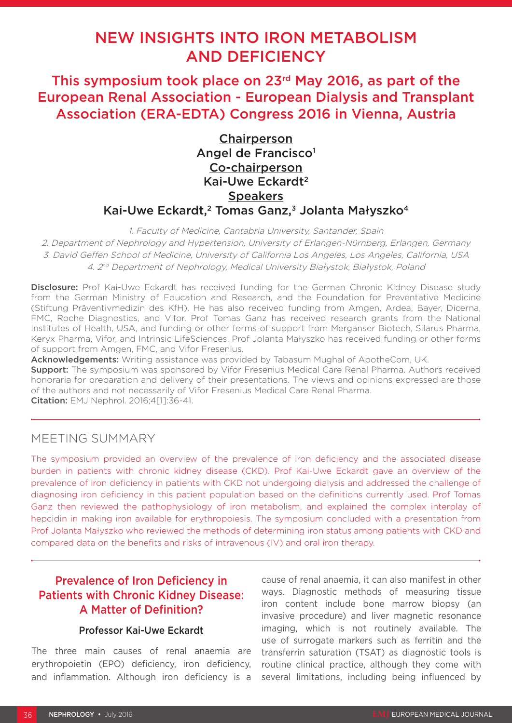# NEW INSIGHTS INTO IRON METABOLISM AND DEFICIENCY

This symposium took place on 23rd May 2016, as part of the European Renal Association - European Dialysis and Transplant Association (ERA-EDTA) Congress 2016 in Vienna, Austria

> **Chairperson** Angel de Francisco<sup>1</sup> Co-chairperson Kai-Uwe Eckardt2 **Speakers** Kai-Uwe Eckardt,<sup>2</sup> Tomas Ganz,<sup>3</sup> Jolanta Małyszko<sup>4</sup>

1. Faculty of Medicine, Cantabria University, Santander, Spain 2. Department of Nephrology and Hypertension, University of Erlangen-Nürnberg, Erlangen, Germany 3. David Geffen School of Medicine, University of California Los Angeles, Los Angeles, California, USA 4. 2nd Department of Nephrology, Medical University Białystok, Białystok, Poland

Disclosure: Prof Kai-Uwe Eckardt has received funding for the German Chronic Kidney Disease study from the German Ministry of Education and Research, and the Foundation for Preventative Medicine (Stiftung Präventivmedizin des KfH). He has also received funding from Amgen, Ardea, Bayer, Dicerna, FMC, Roche Diagnostics, and Vifor. Prof Tomas Ganz has received research grants from the National Institutes of Health, USA, and funding or other forms of support from Merganser Biotech, Silarus Pharma, Keryx Pharma, Vifor, and Intrinsic LifeSciences. Prof Jolanta Małyszko has received funding or other forms of support from Amgen, FMC, and Vifor Fresenius.

Acknowledgements: Writing assistance was provided by Tabasum Mughal of ApotheCom, UK.

**Support:** The symposium was sponsored by Vifor Fresenius Medical Care Renal Pharma. Authors received honoraria for preparation and delivery of their presentations. The views and opinions expressed are those of the authors and not necessarily of Vifor Fresenius Medical Care Renal Pharma. Citation: EMJ Nephrol. 2016;4[1]:36-41.

MEETING SUMMARY

The symposium provided an overview of the prevalence of iron deficiency and the associated disease burden in patients with chronic kidney disease (CKD). Prof Kai-Uwe Eckardt gave an overview of the prevalence of iron deficiency in patients with CKD not undergoing dialysis and addressed the challenge of diagnosing iron deficiency in this patient population based on the definitions currently used. Prof Tomas Ganz then reviewed the pathophysiology of iron metabolism, and explained the complex interplay of hepcidin in making iron available for erythropoiesis. The symposium concluded with a presentation from Prof Jolanta Małyszko who reviewed the methods of determining iron status among patients with CKD and compared data on the benefits and risks of intravenous (IV) and oral iron therapy.

# Prevalence of Iron Deficiency in Patients with Chronic Kidney Disease: A Matter of Definition?

### Professor Kai-Uwe Eckardt

The three main causes of renal anaemia are erythropoietin (EPO) deficiency, iron deficiency, and inflammation. Although iron deficiency is a

cause of renal anaemia, it can also manifest in other ways. Diagnostic methods of measuring tissue iron content include bone marrow biopsy (an invasive procedure) and liver magnetic resonance imaging, which is not routinely available. The use of surrogate markers such as ferritin and the transferrin saturation (TSAT) as diagnostic tools is routine clinical practice, although they come with several limitations, including being influenced by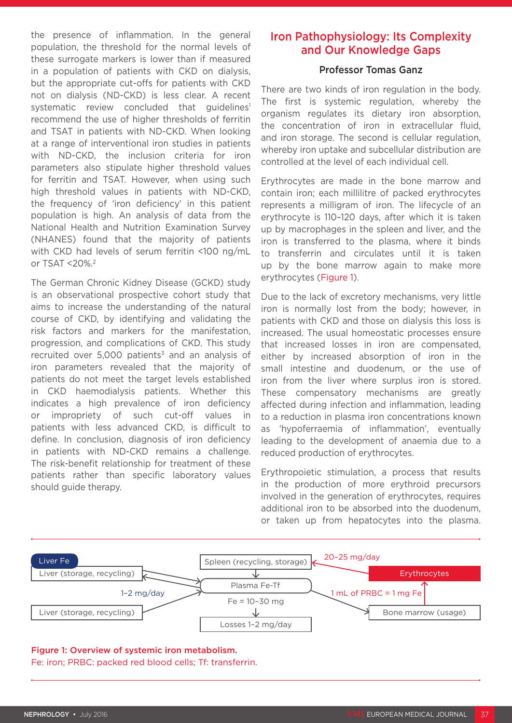the presence of inflammation. In the general population, the threshold for the normal levels of these surrogate markers is lower than if measured in a population of patients with CKD on dialysis, but the appropriate cut-offs for patients with CKD not on dialysis (ND-CKD) is less clear. A recent systematic review concluded that guidelines<sup>1</sup> recommend the use of higher thresholds of ferritin and TSAT in patients with ND-CKD. When looking at a range of interventional iron studies in patients with ND-CKD, the inclusion criteria for iron parameters also stipulate higher threshold values for ferritin and TSAT. However, when using such high threshold values in patients with ND-CKD, the frequency of 'iron deficiency' in this patient population is high. An analysis of data from the National Health and Nutrition Examination Survey (NHANES) found that the majority of patients with CKD had levels of serum ferritin <100 ng/mL or TSAT <20%.2

The German Chronic Kidney Disease (GCKD) study is an observational prospective cohort study that aims to increase the understanding of the natural course of CKD, by identifying and validating the risk factors and markers for the manifestation, progression, and complications of CKD. This study recruited over  $5,000$  patients<sup>3</sup> and an analysis of iron parameters revealed that the majority of patients do not meet the target levels established in CKD haemodialysis patients. Whether this indicates a high prevalence of iron deficiency or impropriety of such cut-off values in patients with less advanced CKD, is difficult to define. In conclusion, diagnosis of iron deficiency in patients with ND-CKD remains a challenge. The risk-benefit relationship for treatment of these patients rather than specific laboratory values should guide therapy.

# Iron Pathophysiology: Its Complexity and Our Knowledge Gaps

#### Professor Tomas Ganz

There are two kinds of iron regulation in the body. The first is systemic regulation, whereby the organism regulates its dietary iron absorption, the concentration of iron in extracellular fluid, and iron storage. The second is cellular regulation, whereby iron uptake and subcellular distribution are controlled at the level of each individual cell.

Erythrocytes are made in the bone marrow and contain iron; each millilitre of packed erythrocytes represents a milligram of iron. The lifecycle of an erythrocyte is 110–120 days, after which it is taken up by macrophages in the spleen and liver, and the iron is transferred to the plasma, where it binds to transferrin and circulates until it is taken up by the bone marrow again to make more erythrocytes (Figure 1).

Due to the lack of excretory mechanisms, very little iron is normally lost from the body; however, in patients with CKD and those on dialysis this loss is increased. The usual homeostatic processes ensure that increased losses in iron are compensated, either by increased absorption of iron in the small intestine and duodenum, or the use of iron from the liver where surplus iron is stored. These compensatory mechanisms are greatly affected during infection and inflammation, leading to a reduction in plasma iron concentrations known as 'hypoferraemia of inflammation', eventually leading to the development of anaemia due to a reduced production of erythrocytes.

Erythropoietic stimulation, a process that results in the production of more erythroid precursors involved in the generation of erythrocytes, requires additional iron to be absorbed into the duodenum, or taken up from hepatocytes into the plasma.



#### Figure 1: Overview of systemic iron metabolism. Fe: iron; PRBC: packed red blood cells; Tf: transferrin.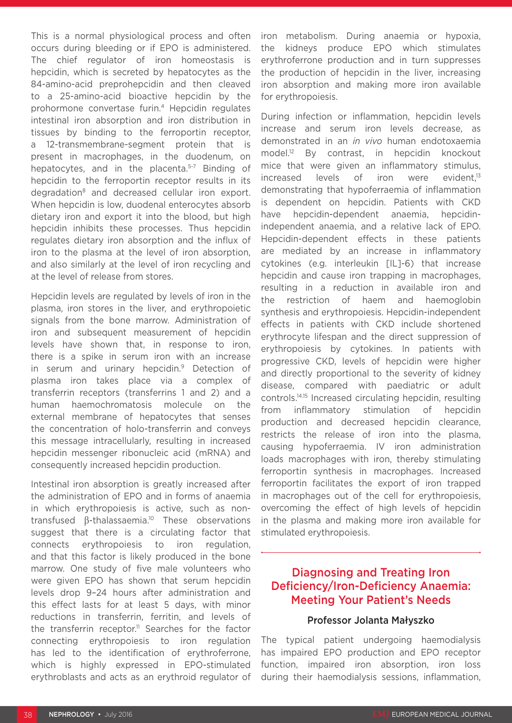This is a normal physiological process and often occurs during bleeding or if EPO is administered. The chief regulator of iron homeostasis is hepcidin, which is secreted by hepatocytes as the 84-amino-acid preprohepcidin and then cleaved to a 25-amino-acid bioactive hepcidin by the prohormone convertase furin.4 Hepcidin regulates intestinal iron absorption and iron distribution in tissues by binding to the ferroportin receptor, a 12-transmembrane-segment protein that is present in macrophages, in the duodenum, on hepatocytes, and in the placenta.<sup>5-7</sup> Binding of hepcidin to the ferroportin receptor results in its degradation<sup>8</sup> and decreased cellular iron export. When hepcidin is low, duodenal enterocytes absorb dietary iron and export it into the blood, but high hepcidin inhibits these processes. Thus hepcidin regulates dietary iron absorption and the influx of iron to the plasma at the level of iron absorption, and also similarly at the level of iron recycling and at the level of release from stores.

Hepcidin levels are regulated by levels of iron in the plasma, iron stores in the liver, and erythropoietic signals from the bone marrow. Administration of iron and subsequent measurement of hepcidin levels have shown that, in response to iron, there is a spike in serum iron with an increase in serum and urinary hepcidin.<sup>9</sup> Detection of plasma iron takes place via a complex of transferrin receptors (transferrins 1 and 2) and a human haemochromatosis molecule on the external membrane of hepatocytes that senses the concentration of holo-transferrin and conveys this message intracellularly, resulting in increased hepcidin messenger ribonucleic acid (mRNA) and consequently increased hepcidin production.

Intestinal iron absorption is greatly increased after the administration of EPO and in forms of anaemia in which erythropoiesis is active, such as nontransfused β-thalassaemia.10 These observations suggest that there is a circulating factor that connects erythropoiesis to iron regulation, and that this factor is likely produced in the bone marrow. One study of five male volunteers who were given EPO has shown that serum hepcidin levels drop 9–24 hours after administration and this effect lasts for at least 5 days, with minor reductions in transferrin, ferritin, and levels of the transferrin receptor.<sup>11</sup> Searches for the factor connecting erythropoiesis to iron regulation has led to the identification of erythroferrone, which is highly expressed in EPO-stimulated erythroblasts and acts as an erythroid regulator of

iron metabolism. During anaemia or hypoxia, the kidneys produce EPO which stimulates erythroferrone production and in turn suppresses the production of hepcidin in the liver, increasing iron absorption and making more iron available for erythropoiesis.

During infection or inflammation, hepcidin levels increase and serum iron levels decrease, as demonstrated in an *in vivo* human endotoxaemia model.12 By contrast, in hepcidin knockout mice that were given an inflammatory stimulus, increased levels of iron were evident.<sup>13</sup> demonstrating that hypoferraemia of inflammation is dependent on hepcidin. Patients with CKD have hepcidin-dependent anaemia, hepcidinindependent anaemia, and a relative lack of EPO. Hepcidin-dependent effects in these patients are mediated by an increase in inflammatory cytokines (e.g. interleukin [IL]-6) that increase hepcidin and cause iron trapping in macrophages, resulting in a reduction in available iron and the restriction of haem and haemoglobin synthesis and erythropoiesis. Hepcidin-independent effects in patients with CKD include shortened erythrocyte lifespan and the direct suppression of erythropoiesis by cytokines. In patients with progressive CKD, levels of hepcidin were higher and directly proportional to the severity of kidney disease, compared with paediatric or adult controls.14,15 Increased circulating hepcidin, resulting from inflammatory stimulation of hepcidin production and decreased hepcidin clearance, restricts the release of iron into the plasma, causing hypoferraemia. IV iron administration loads macrophages with iron, thereby stimulating ferroportin synthesis in macrophages. Increased ferroportin facilitates the export of iron trapped in macrophages out of the cell for erythropoiesis, overcoming the effect of high levels of hepcidin in the plasma and making more iron available for stimulated erythropoiesis.

# Diagnosing and Treating Iron Deficiency/Iron-Deficiency Anaemia: Meeting Your Patient's Needs

### Professor Jolanta Małyszko

The typical patient undergoing haemodialysis has impaired EPO production and EPO receptor function, impaired iron absorption, iron loss during their haemodialysis sessions, inflammation,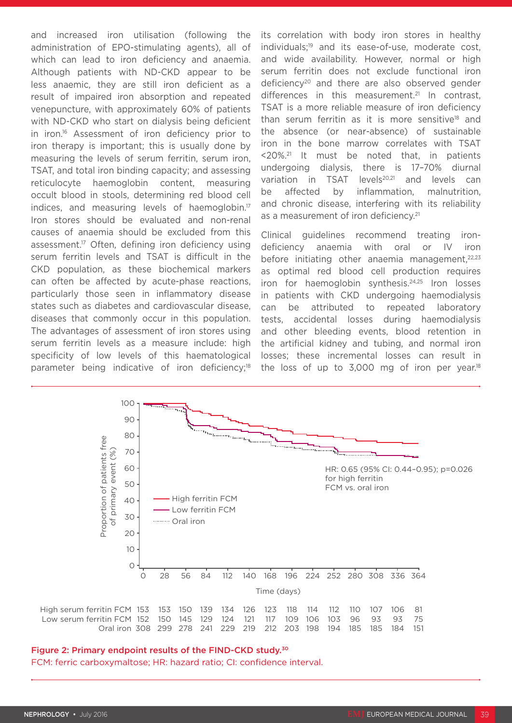and increased iron utilisation (following the administration of EPO-stimulating agents), all of which can lead to iron deficiency and anaemia. Although patients with ND-CKD appear to be less anaemic, they are still iron deficient as a result of impaired iron absorption and repeated venepuncture, with approximately 60% of patients with ND-CKD who start on dialysis being deficient in iron.16 Assessment of iron deficiency prior to iron therapy is important; this is usually done by measuring the levels of serum ferritin, serum iron, TSAT, and total iron binding capacity; and assessing reticulocyte haemoglobin content, measuring occult blood in stools, determining red blood cell indices, and measuring levels of haemoglobin.<sup>17</sup> Iron stores should be evaluated and non-renal causes of anaemia should be excluded from this assessment.17 Often, defining iron deficiency using serum ferritin levels and TSAT is difficult in the CKD population, as these biochemical markers can often be affected by acute-phase reactions, particularly those seen in inflammatory disease states such as diabetes and cardiovascular disease, diseases that commonly occur in this population. The advantages of assessment of iron stores using serum ferritin levels as a measure include: high specificity of low levels of this haematological parameter being indicative of iron deficiency;<sup>18</sup>

its correlation with body iron stores in healthy individuals;<sup>19</sup> and its ease-of-use, moderate cost, and wide availability. However, normal or high serum ferritin does not exclude functional iron deficiency<sup>20</sup> and there are also observed gender differences in this measurement.<sup>21</sup> In contrast, TSAT is a more reliable measure of iron deficiency than serum ferritin as it is more sensitive<sup>18</sup> and the absence (or near-absence) of sustainable iron in the bone marrow correlates with TSAT <20%.21 It must be noted that, in patients undergoing dialysis, there is 17–70% diurnal variation in TSAT levels<sup>20,21</sup> and levels can be affected by inflammation, malnutrition, and chronic disease, interfering with its reliability as a measurement of iron deficiency.<sup>21</sup>

Clinical guidelines recommend treating irondeficiency anaemia with oral or IV iron before initiating other anaemia management, $22,23$ as optimal red blood cell production requires iron for haemoglobin synthesis.<sup>24,25</sup> Iron losses in patients with CKD undergoing haemodialysis can be attributed to repeated laboratory tests, accidental losses during haemodialysis and other bleeding events, blood retention in the artificial kidney and tubing, and normal iron losses; these incremental losses can result in the loss of up to  $3,000$  mg of iron per year.<sup>18</sup>



### Figure 2: Primary endpoint results of the FIND-CKD study.30

FCM: ferric carboxymaltose; HR: hazard ratio; CI: confidence interval.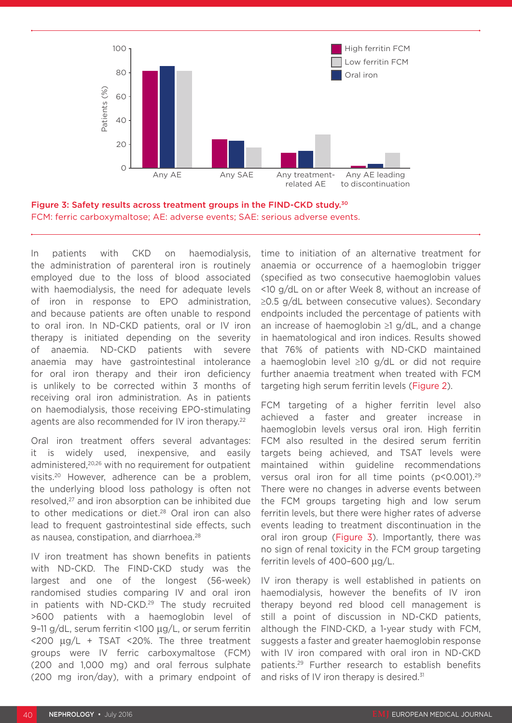

Figure 3: Safety results across treatment groups in the FIND-CKD study.30 FCM: ferric carboxymaltose; AE: adverse events; SAE: serious adverse events.

In patients with CKD on haemodialysis, the administration of parenteral iron is routinely employed due to the loss of blood associated with haemodialysis, the need for adequate levels of iron in response to EPO administration, and because patients are often unable to respond to oral iron. In ND-CKD patients, oral or IV iron therapy is initiated depending on the severity of anaemia. ND-CKD patients with severe anaemia may have gastrointestinal intolerance for oral iron therapy and their iron deficiency is unlikely to be corrected within 3 months of receiving oral iron administration. As in patients on haemodialysis, those receiving EPO-stimulating agents are also recommended for IV iron therapy.<sup>22</sup>

Oral iron treatment offers several advantages: it is widely used, inexpensive, and easily administered,<sup>20,26</sup> with no requirement for outpatient visits.20 However, adherence can be a problem, the underlying blood loss pathology is often not resolved,<sup>27</sup> and iron absorption can be inhibited due to other medications or diet.28 Oral iron can also lead to frequent gastrointestinal side effects, such as nausea, constipation, and diarrhoea.28

IV iron treatment has shown benefits in patients with ND-CKD. The FIND-CKD study was the largest and one of the longest (56-week) randomised studies comparing IV and oral iron in patients with ND-CKD.<sup>29</sup> The study recruited >600 patients with a haemoglobin level of 9–11 g/dL, serum ferritin <100 µg/L, or serum ferritin  $<$ 200  $\mu$ g/L + TSAT  $<$ 20%. The three treatment groups were IV ferric carboxymaltose (FCM) (200 and 1,000 mg) and oral ferrous sulphate (200 mg iron/day), with a primary endpoint of time to initiation of an alternative treatment for anaemia or occurrence of a haemoglobin trigger (specified as two consecutive haemoglobin values <10 g/dL on or after Week 8, without an increase of ≥0.5 g/dL between consecutive values). Secondary endpoints included the percentage of patients with an increase of haemoglobin ≥1 g/dL, and a change in haematological and iron indices. Results showed that 76% of patients with ND-CKD maintained a haemoglobin level ≥10 g/dL or did not require further anaemia treatment when treated with FCM targeting high serum ferritin levels (Figure 2).

FCM targeting of a higher ferritin level also achieved a faster and greater increase in haemoglobin levels versus oral iron. High ferritin FCM also resulted in the desired serum ferritin targets being achieved, and TSAT levels were maintained within guideline recommendations versus oral iron for all time points (p<0.001).29 There were no changes in adverse events between the FCM groups targeting high and low serum ferritin levels, but there were higher rates of adverse events leading to treatment discontinuation in the oral iron group (Figure 3). Importantly, there was no sign of renal toxicity in the FCM group targeting ferritin levels of 400–600 μg/L.

IV iron therapy is well established in patients on haemodialysis, however the benefits of IV iron therapy beyond red blood cell management is still a point of discussion in ND-CKD patients, although the FIND-CKD, a 1-year study with FCM, suggests a faster and greater haemoglobin response with IV iron compared with oral iron in ND-CKD patients.29 Further research to establish benefits and risks of IV iron therapy is desired.<sup>31</sup>